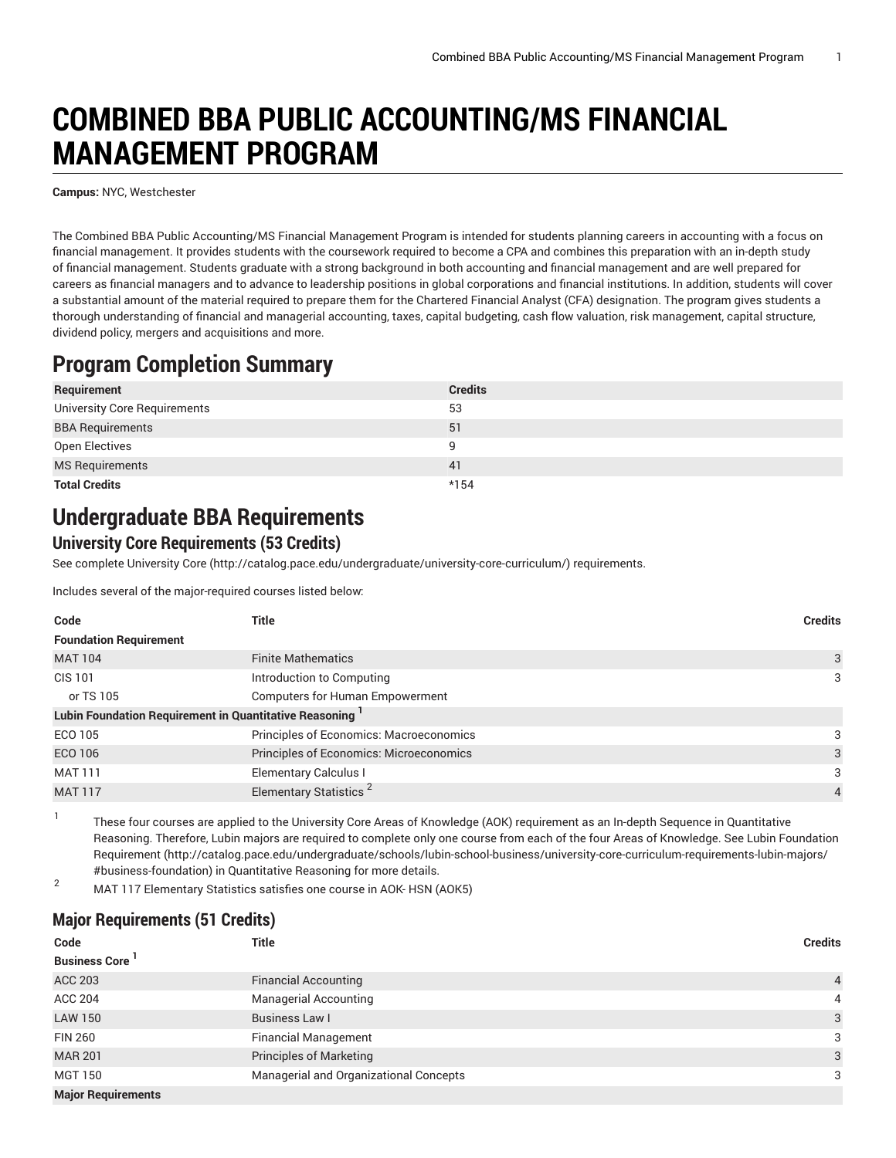# **COMBINED BBA PUBLIC ACCOUNTING/MS FINANCIAL MANAGEMENT PROGRAM**

**Campus:** NYC, Westchester

The Combined BBA Public Accounting/MS Financial Management Program is intended for students planning careers in accounting with a focus on financial management. It provides students with the coursework required to become a CPA and combines this preparation with an in-depth study of financial management. Students graduate with a strong background in both accounting and financial management and are well prepared for careers as financial managers and to advance to leadership positions in global corporations and financial institutions. In addition, students will cover a substantial amount of the material required to prepare them for the Chartered Financial Analyst (CFA) designation. The program gives students a thorough understanding of financial and managerial accounting, taxes, capital budgeting, cash flow valuation, risk management, capital structure, dividend policy, mergers and acquisitions and more.

## **Program Completion Summary**

| Requirement                         | <b>Credits</b> |
|-------------------------------------|----------------|
| <b>University Core Requirements</b> | 53             |
| <b>BBA Requirements</b>             | 51             |
| Open Electives                      | q              |
| <b>MS Requirements</b>              | 41             |
| <b>Total Credits</b>                | $*154$         |

## **Undergraduate BBA Requirements**

#### **University Core Requirements (53 Credits)**

See complete [University](http://catalog.pace.edu/undergraduate/university-core-curriculum/) Core (<http://catalog.pace.edu/undergraduate/university-core-curriculum/>) requirements.

Includes several of the major-required courses listed below:

| Code                                                                | Title                                   | <b>Credits</b> |
|---------------------------------------------------------------------|-----------------------------------------|----------------|
| <b>Foundation Requirement</b>                                       |                                         |                |
| <b>MAT 104</b>                                                      | <b>Finite Mathematics</b>               | 3              |
| <b>CIS 101</b>                                                      | Introduction to Computing               | 3              |
| or TS 105                                                           | <b>Computers for Human Empowerment</b>  |                |
| Lubin Foundation Requirement in Quantitative Reasoning <sup>1</sup> |                                         |                |
| ECO 105                                                             | Principles of Economics: Macroeconomics | 3              |
| ECO 106                                                             | Principles of Economics: Microeconomics | 3              |
| <b>MAT 111</b>                                                      | <b>Elementary Calculus I</b>            | 3              |
| <b>MAT 117</b>                                                      | Elementary Statistics <sup>2</sup>      | $\overline{4}$ |

1 These four courses are applied to the University Core Areas of Knowledge (AOK) requirement as an In-depth Sequence in Quantitative Reasoning. Therefore, Lubin majors are required to complete only one course from each of the four Areas of Knowledge. See Lubin [Foundation](http://catalog.pace.edu/undergraduate/schools/lubin-school-business/university-core-curriculum-requirements-lubin-majors/#business-foundation) [Requirement](http://catalog.pace.edu/undergraduate/schools/lubin-school-business/university-core-curriculum-requirements-lubin-majors/#business-foundation) ([http://catalog.pace.edu/undergraduate/schools/lubin-school-business/university-core-curriculum-requirements-lubin-majors/](http://catalog.pace.edu/undergraduate/schools/lubin-school-business/university-core-curriculum-requirements-lubin-majors/#business-foundation) [#business-foundation\)](http://catalog.pace.edu/undergraduate/schools/lubin-school-business/university-core-curriculum-requirements-lubin-majors/#business-foundation) in Quantitative Reasoning for more details.

<sup>2</sup> MAT 117 Elementary Statistics satisfies one course in AOK- HSN (AOK5)

### **Major Requirements (51 Credits)**

| Code                      | Title                                  | <b>Credits</b> |
|---------------------------|----------------------------------------|----------------|
| <b>Business Core</b>      |                                        |                |
| <b>ACC 203</b>            | <b>Financial Accounting</b>            | $\overline{4}$ |
| <b>ACC 204</b>            | <b>Managerial Accounting</b>           | $\overline{4}$ |
| <b>LAW 150</b>            | Business Law I                         | 3              |
| <b>FIN 260</b>            | <b>Financial Management</b>            | 3              |
| <b>MAR 201</b>            | <b>Principles of Marketing</b>         | 3              |
| MGT 150                   | Managerial and Organizational Concepts | 3              |
| <b>Major Requirements</b> |                                        |                |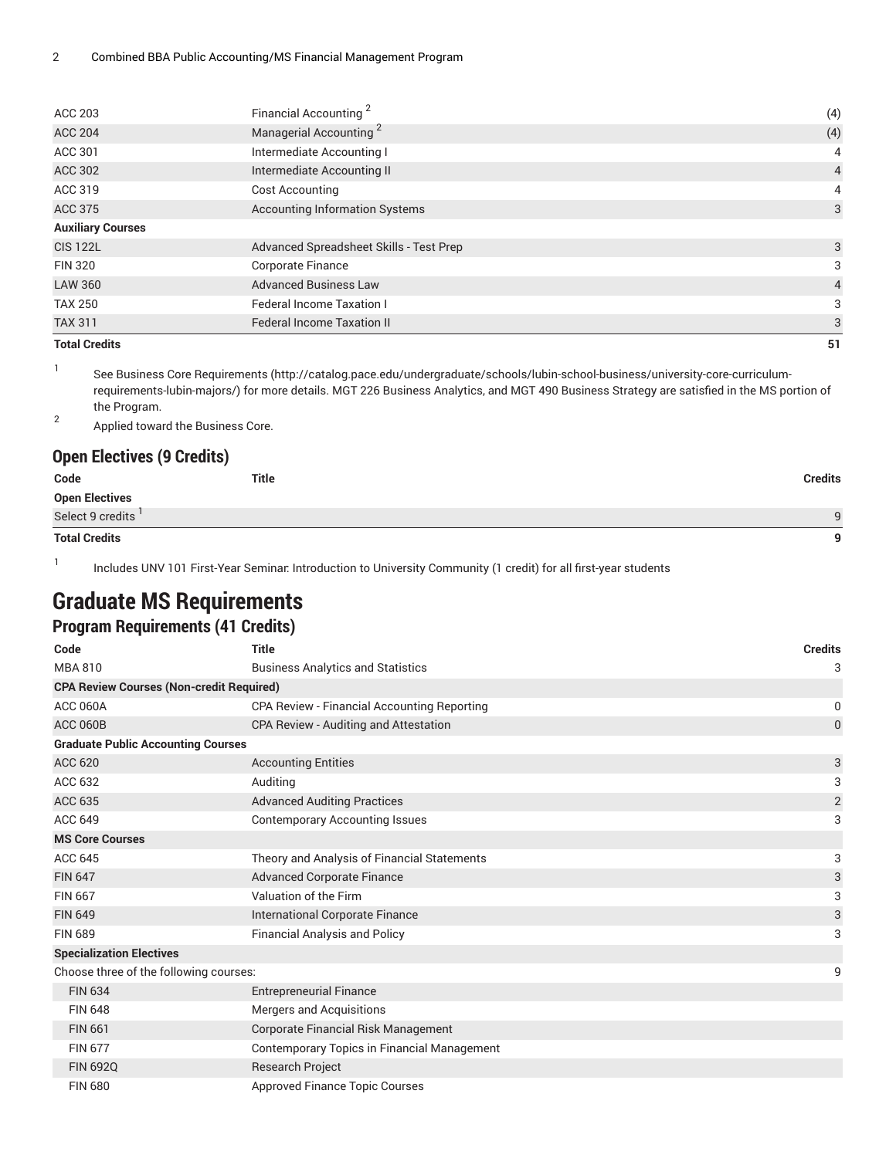| <b>ACC 375</b><br><b>Auxiliary Courses</b> | <b>Accounting Information Systems</b>   | 3              |
|--------------------------------------------|-----------------------------------------|----------------|
| <b>CIS 122L</b>                            | Advanced Spreadsheet Skills - Test Prep | 3              |
| <b>FIN 320</b>                             | <b>Corporate Finance</b>                | 3              |
| <b>LAW 360</b>                             | <b>Advanced Business Law</b>            | $\overline{4}$ |
| <b>TAX 250</b>                             | <b>Federal Income Taxation I</b>        | 3              |
| <b>TAX 311</b>                             | <b>Federal Income Taxation II</b>       | 3              |
| <b>Total Credits</b>                       |                                         | 51             |

1

1 See Business Core [Requirements](http://catalog.pace.edu/undergraduate/schools/lubin-school-business/university-core-curriculum-requirements-lubin-majors/) ([http://catalog.pace.edu/undergraduate/schools/lubin-school-business/university-core-curriculum](http://catalog.pace.edu/undergraduate/schools/lubin-school-business/university-core-curriculum-requirements-lubin-majors/)[requirements-lubin-majors/\)](http://catalog.pace.edu/undergraduate/schools/lubin-school-business/university-core-curriculum-requirements-lubin-majors/) for more details. MGT 226 Business Analytics, and MGT 490 Business Strategy are satisfied in the MS portion of the Program.

2 Applied toward the Business Core.

#### **Open Electives (9 Credits)**

| Code                          | <b>Title</b> | <b>Credits</b> |
|-------------------------------|--------------|----------------|
| <b>Open Electives</b>         |              |                |
| Select 9 credits <sup>1</sup> |              |                |
| <b>Total Credits</b>          |              |                |

Includes UNV 101 First-Year Seminar: Introduction to University Community (1 credit) for all first-year students

# **Graduate MS Requirements**

### **Program Requirements (41 Credits)**

| Code                                            | <b>Title</b>                                | <b>Credits</b> |
|-------------------------------------------------|---------------------------------------------|----------------|
| <b>MBA 810</b>                                  | <b>Business Analytics and Statistics</b>    | 3              |
| <b>CPA Review Courses (Non-credit Required)</b> |                                             |                |
| <b>ACC 060A</b>                                 | CPA Review - Financial Accounting Reporting | 0              |
| <b>ACC 060B</b>                                 | CPA Review - Auditing and Attestation       | 0              |
| <b>Graduate Public Accounting Courses</b>       |                                             |                |
| <b>ACC 620</b>                                  | <b>Accounting Entities</b>                  | 3              |
| ACC 632                                         | Auditing                                    | 3              |
| <b>ACC 635</b>                                  | <b>Advanced Auditing Practices</b>          | $\overline{2}$ |
| <b>ACC 649</b>                                  | <b>Contemporary Accounting Issues</b>       | 3              |
| <b>MS Core Courses</b>                          |                                             |                |
| <b>ACC 645</b>                                  | Theory and Analysis of Financial Statements | 3              |
| <b>FIN 647</b>                                  | <b>Advanced Corporate Finance</b>           | 3              |
| <b>FIN 667</b>                                  | Valuation of the Firm                       | 3              |
| <b>FIN 649</b>                                  | <b>International Corporate Finance</b>      | 3              |
| <b>FIN 689</b>                                  | <b>Financial Analysis and Policy</b>        | 3              |
| <b>Specialization Electives</b>                 |                                             |                |
| Choose three of the following courses:          |                                             | 9              |
| <b>FIN 634</b>                                  | <b>Entrepreneurial Finance</b>              |                |
| <b>FIN 648</b>                                  | Mergers and Acquisitions                    |                |
| <b>FIN 661</b>                                  | Corporate Financial Risk Management         |                |
| <b>FIN 677</b>                                  | Contemporary Topics in Financial Management |                |
| <b>FIN 692Q</b>                                 | Research Project                            |                |
| <b>FIN 680</b>                                  | <b>Approved Finance Topic Courses</b>       |                |